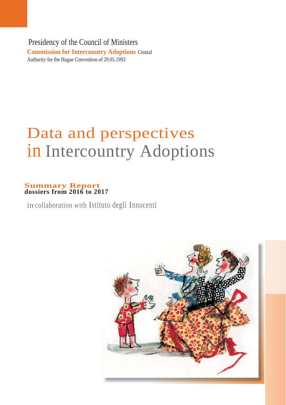Presidency of the Council of Ministers **Commission for Intercountry Adoptions** Central Authority for the Hague Convention of 29.05.1993

# Data and perspectives in Intercountry Adoptions

## **Summary Report dossiers from 2016 to 2017**

in collaboration with Istituto degli Innocenti

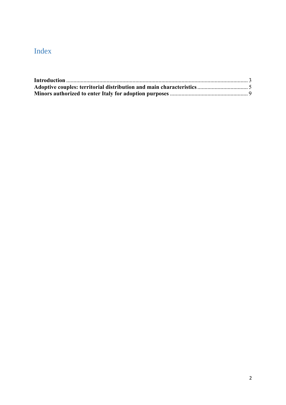# Index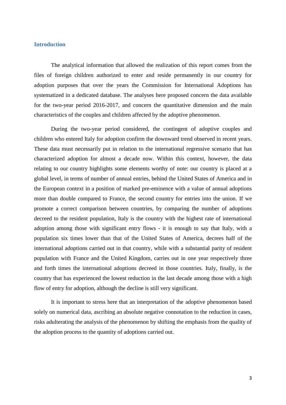#### <span id="page-2-0"></span>**Introduction**

The analytical information that allowed the realization of this report comes from the files of foreign children authorized to enter and reside permanently in our country for adoption purposes that over the years the Commission for International Adoptions has systematized in a dedicated database. The analyses here proposed concern the data available for the two-year period 2016-2017, and concern the quantitative dimension and the main characteristics of the couples and children affected by the adoptive phenomenon.

During the two-year period considered, the contingent of adoptive couples and children who entered Italy for adoption confirm the downward trend observed in recent years. These data must necessarily put in relation to the international regressive scenario that has characterized adoption for almost a decade now. Within this context, however, the data relating to our country highlights some elements worthy of note: our country is placed at a global level, in terms of number of annual entries, behind the United States of America and in the European context in a position of marked pre-eminence with a value of annual adoptions more than double compared to France, the second country for entries into the union. If we promote a correct comparison between countries, by comparing the number of adoptions decreed to the resident population, Italy is the country with the highest rate of international adoption among those with significant entry flows - it is enough to say that Italy, with a population six times lower than that of the United States of America, decrees half of the international adoptions carried out in that country, while with a substantial parity of resident population with France and the United Kingdom, carries out in one year respectively three and forth times the international adoptions decreed in those countries. Italy, finally, is the country that has experienced the lowest reduction in the last decade among those with a high flow of entry for adoption, although the decline is still very significant.

It is important to stress here that an interpretation of the adoptive phenomenon based solely on numerical data, ascribing an absolute negative connotation to the reduction in cases, risks adulterating the analysis of the phenomenon by shifting the emphasis from the quality of the adoption process to the quantity of adoptions carried out.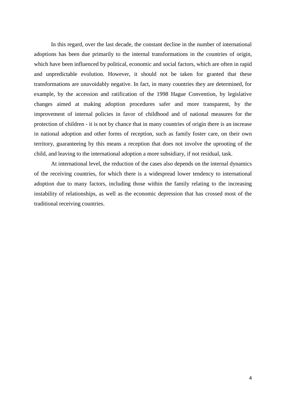In this regard, over the last decade, the constant decline in the number of international adoptions has been due primarily to the internal transformations in the countries of origin, which have been influenced by political, economic and social factors, which are often in rapid and unpredictable evolution. However, it should not be taken for granted that these transformations are unavoidably negative. In fact, in many countries they are determined, for example, by the accession and ratification of the 1998 Hague Convention, by legislative changes aimed at making adoption procedures safer and more transparent, by the improvement of internal policies in favor of childhood and of national measures for the protection of children - it is not by chance that in many countries of origin there is an increase in national adoption and other forms of reception, such as family foster care, on their own territory, guaranteeing by this means a reception that does not involve the uprooting of the child, and leaving to the international adoption a more subsidiary, if not residual, task.

At international level, the reduction of the cases also depends on the internal dynamics of the receiving countries, for which there is a widespread lower tendency to international adoption due to many factors, including those within the family relating to the increasing instability of relationships, as well as the economic depression that has crossed most of the traditional receiving countries.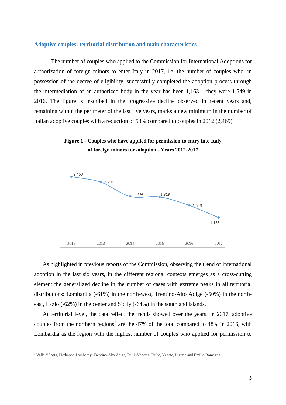#### <span id="page-4-0"></span>**Adoptive couples: territorial distribution and main characteristics**

The number of couples who applied to the Commission for International Adoptions for authorization of foreign minors to enter Italy in 2017, i.e. the number of couples who, in possession of the decree of eligibility, successfully completed the adoption process through the intermediation of an authorized body in the year has been  $1,163$  – they were 1,549 in 2016. The figure is inscribed in the progressive decline observed in recent years and, remaining within the perimeter of the last five years, marks a new minimum in the number of Italian adoptive couples with a reduction of 53% compared to couples in 2012 (2,469).

**Figure 1 - Couples who have applied for permission to entry into Italy of foreign minors for adoption - Years 2012-2017**



As highlighted in previous reports of the Commission, observing the trend of international adoption in the last six years, in the different regional contexts emerges as a cross-cutting element the generalized decline in the number of cases with extreme peaks in all territorial distributions: Lombardia (-61%) in the north-west, Trentino-Alto Adige (-50%) in the northeast, Lazio (-62%) in the center and Sicily (-64%) in the south and islands.

At territorial level, the data reflect the trends showed over the years. In 2017, adoptive couples from the northern regions<sup>1</sup> are the 47% of the total compared to 48% in 2016, with Lombardia as the region with the highest number of couples who applied for permission to

 $\overline{\phantom{a}}$ 

<sup>1</sup> Valle d'Aosta, Piedmont, Lombardy, Trentino-Alto Adige, Friuli-Venezia Giulia, Veneto, Liguria and Emilia-Romagna.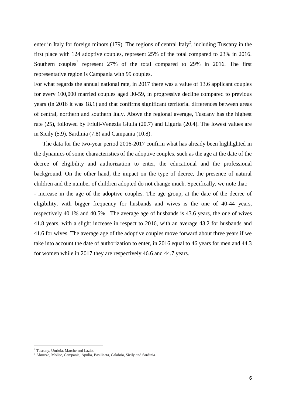enter in Italy for foreign minors (179). The regions of central Italy<sup>2</sup>, including Tuscany in the first place with 124 adoptive couples, represent 25% of the total compared to 23% in 2016. Southern couples<sup>3</sup> represent 27% of the total compared to 29% in 2016. The first representative region is Campania with 99 couples.

For what regards the annual national rate, in 2017 there was a value of 13.6 applicant couples for every 100,000 married couples aged 30-59, in progressive decline compared to previous years (in 2016 it was 18.1) and that confirms significant territorial differences between areas of central, northern and southern Italy. Above the regional average, Tuscany has the highest rate (25), followed by Friuli-Venezia Giulia (20.7) and Liguria (20.4). The lowest values are in Sicily (5.9), Sardinia (7.8) and Campania (10.8).

The data for the two-year period 2016-2017 confirm what has already been highlighted in the dynamics of some characteristics of the adoptive couples, such as the age at the date of the decree of eligibility and authorization to enter, the educational and the professional background. On the other hand, the impact on the type of decree, the presence of natural children and the number of children adopted do not change much. Specifically, we note that:

- increase in the age of the adoptive couples. The age group, at the date of the decree of eligibility, with bigger frequency for husbands and wives is the one of 40-44 years, respectively 40.1% and 40.5%. The average age of husbands is 43.6 years, the one of wives 41.8 years, with a slight increase in respect to 2016, with an average 43.2 for husbands and 41.6 for wives. The average age of the adoptive couples move forward about three years if we take into account the date of authorization to enter, in 2016 equal to 46 years for men and 44.3 for women while in 2017 they are respectively 46.6 and 44.7 years.

 $\overline{\phantom{a}}$ 

<sup>&</sup>lt;sup>2</sup> Tuscany, Umbria, Marche and Lazio.

<sup>3</sup> Abruzzo, Molise, Campania, Apulia, Basilicata, Calabria, Sicily and Sardinia.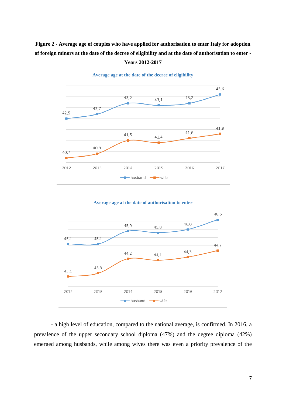## **Figure 2 - Average age of couples who have applied for authorisation to enter Italy for adoption of foreign minors at the date of the decree of eligibility and at the date of authorisation to enter -**



**Years 2012-2017**

**Average age at the date of the decree of eligibility** 

**Average age at the date of authorisation to enter**



- a high level of education, compared to the national average, is confirmed. In 2016, a prevalence of the upper secondary school diploma (47%) and the degree diploma (42%) emerged among husbands, while among wives there was even a priority prevalence of the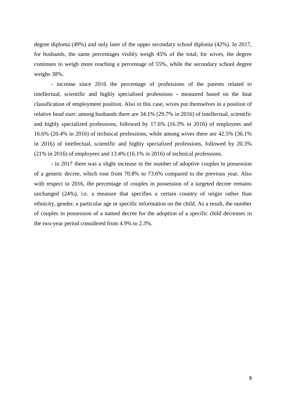degree diploma (49%) and only later of the upper secondary school diploma (42%). In 2017, for husbands, the same percentages visibly weigh 45% of the total, for wives, the degree continues to weigh more reaching a percentage of 55%, while the secondary school degree weighs 38%.

- increase since 2016 the percentage of professions of the parents related to intellectual, scientific and highly specialised professions - measured based on the Istat classification of employment position. Also in this case, wives put themselves in a position of relative head start: among husbands there are 34.1% (29.7% in 2016) of intellectual, scientific and highly specialized professions, followed by 17.6% (16.3% in 2016) of employees and 16.6% (20.4% in 2016) of technical professions, while among wives there are 42.5% (36.1% in 2016) of intellectual, scientific and highly specialized professions, followed by 20.3% (21% in 2016) of employees and 13.4% (16.1% in 2016) of technical professions.

- in 2017 there was a slight increase in the number of adoptive couples in possession of a generic decree, which rose from 70.8% to 73.6% compared to the previous year. Also with respect to 2016, the percentage of couples in possession of a targeted decree remains unchanged (24%), i.e. a measure that specifies a certain country of origin rather than ethnicity, gender, a particular age or specific information on the child. As a result, the number of couples in possession of a named decree for the adoption of a specific child decreases in the two-year period considered from 4.9% to 2.3%.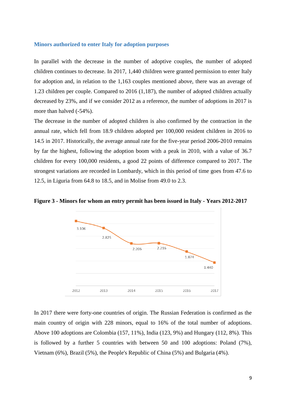#### <span id="page-8-0"></span>**Minors authorized to enter Italy for adoption purposes**

In parallel with the decrease in the number of adoptive couples, the number of adopted children continues to decrease. In 2017, 1,440 children were granted permission to enter Italy for adoption and, in relation to the 1,163 couples mentioned above, there was an average of 1.23 children per couple. Compared to 2016 (1,187), the number of adopted children actually decreased by 23%, and if we consider 2012 as a reference, the number of adoptions in 2017 is more than halved (-54%).

The decrease in the number of adopted children is also confirmed by the contraction in the annual rate, which fell from 18.9 children adopted per 100,000 resident children in 2016 to 14.5 in 2017. Historically, the average annual rate for the five-year period 2006-2010 remains by far the highest, following the adoption boom with a peak in 2010, with a value of 36.7 children for every 100,000 residents, a good 22 points of difference compared to 2017. The strongest variations are recorded in Lombardy, which in this period of time goes from 47.6 to 12.5, in Liguria from 64.8 to 18.5, and in Molise from 49.0 to 2.3.





In 2017 there were forty-one countries of origin. The Russian Federation is confirmed as the main country of origin with 228 minors, equal to 16% of the total number of adoptions. Above 100 adoptions are Colombia (157, 11%), India (123, 9%) and Hungary (112, 8%). This is followed by a further 5 countries with between 50 and 100 adoptions: Poland (7%), Vietnam (6%), Brazil (5%), the People's Republic of China (5%) and Bulgaria (4%).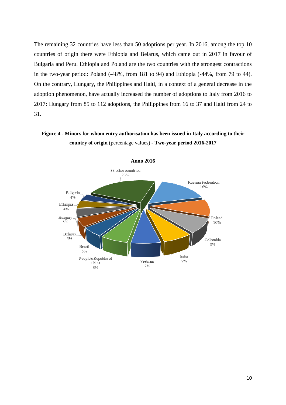The remaining 32 countries have less than 50 adoptions per year. In 2016, among the top 10 countries of origin there were Ethiopia and Belarus, which came out in 2017 in favour of Bulgaria and Peru. Ethiopia and Poland are the two countries with the strongest contractions in the two-year period: Poland (-48%, from 181 to 94) and Ethiopia (-44%, from 79 to 44). On the contrary, Hungary, the Philippines and Haiti, in a context of a general decrease in the adoption phenomenon, have actually increased the number of adoptions to Italy from 2016 to 2017: Hungary from 85 to 112 adoptions, the Philippines from 16 to 37 and Haiti from 24 to 31.

### **Figure 4 - Minors for whom entry authorisation has been issued in Italy according to their country of origin** (percentage values) **- Two-year period 2016-2017**

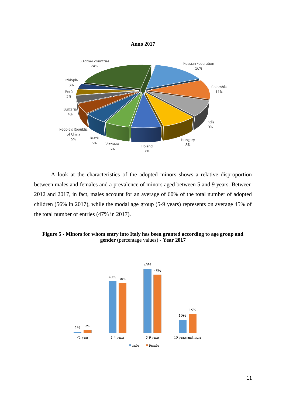



A look at the characteristics of the adopted minors shows a relative disproportion between males and females and a prevalence of minors aged between 5 and 9 years. Between 2012 and 2017, in fact, males account for an average of 60% of the total number of adopted children (56% in 2017), while the modal age group (5-9 years) represents on average 45% of the total number of entries (47% in 2017).